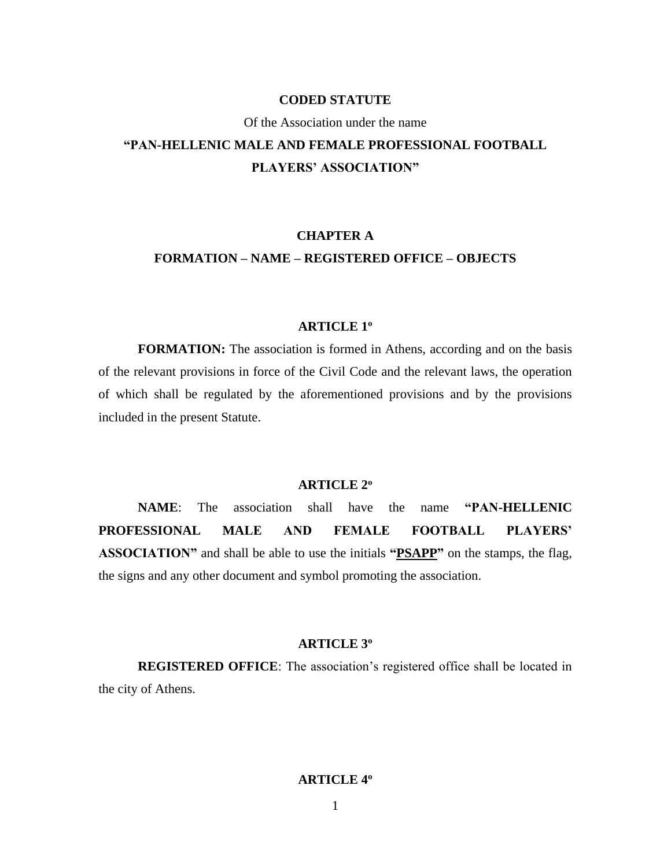# **CODED STATUTE**

### Of the Association under the name

# **"PAN-HELLENIC MALE AND FEMALE PROFESSIONAL FOOTBALL PLAYERS' ASSOCIATION"**

# **CHAPTER A FORMATION – NAME – REGISTERED OFFICE – OBJECTS**

# **ARTICLE 1<sup>ο</sup>**

**FORMATION:** The association is formed in Athens, according and on the basis of the relevant provisions in force of the Civil Code and the relevant laws, the operation of which shall be regulated by the aforementioned provisions and by the provisions included in the present Statute.

## **ARTICLE 2<sup>ο</sup>**

**NAME**: The association shall have the name **"PAN-HELLENIC PROFESSIONAL MALE AND FEMALE FOOTBALL PLAYERS' ASSOCIATION"** and shall be able to use the initials **"PSAPP"** on the stamps, the flag, the signs and any other document and symbol promoting the association.

#### **ARTICLE 3<sup>ο</sup>**

**REGISTERED OFFICE**: The association's registered office shall be located in the city of Athens.

# **ARTICLE 4ο**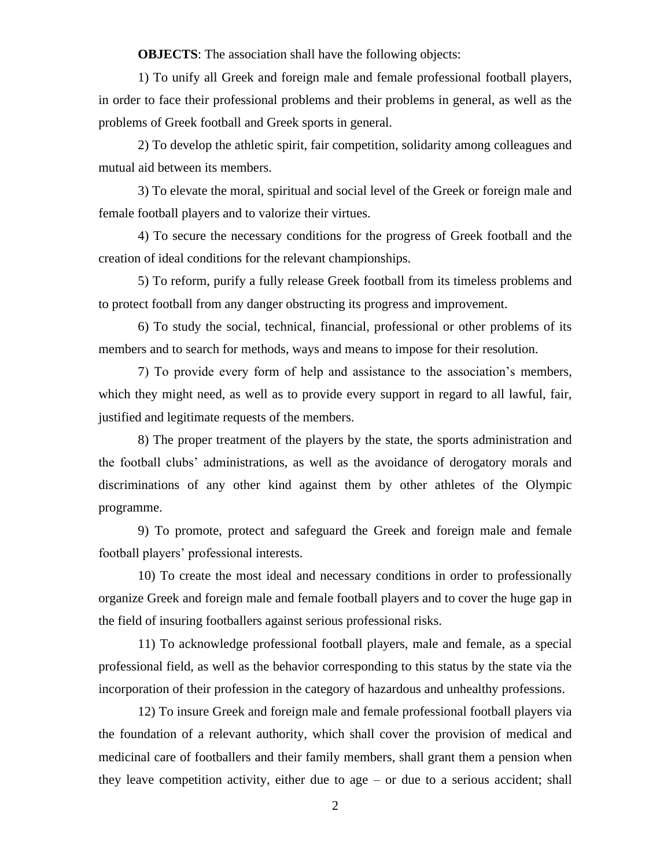**OBJECTS:** The association shall have the following objects:

1) To unify all Greek and foreign male and female professional football players, in order to face their professional problems and their problems in general, as well as the problems of Greek football and Greek sports in general.

2) To develop the athletic spirit, fair competition, solidarity among colleagues and mutual aid between its members.

3) To elevate the moral, spiritual and social level of the Greek or foreign male and female football players and to valorize their virtues.

4) To secure the necessary conditions for the progress of Greek football and the creation of ideal conditions for the relevant championships.

5) To reform, purify a fully release Greek football from its timeless problems and to protect football from any danger obstructing its progress and improvement.

6) To study the social, technical, financial, professional or other problems of its members and to search for methods, ways and means to impose for their resolution.

7) To provide every form of help and assistance to the association's members, which they might need, as well as to provide every support in regard to all lawful, fair, justified and legitimate requests of the members.

8) The proper treatment of the players by the state, the sports administration and the football clubs' administrations, as well as the avoidance of derogatory morals and discriminations of any other kind against them by other athletes of the Olympic programme.

9) To promote, protect and safeguard the Greek and foreign male and female football players' professional interests.

10) To create the most ideal and necessary conditions in order to professionally organize Greek and foreign male and female football players and to cover the huge gap in the field of insuring footballers against serious professional risks.

11) To acknowledge professional football players, male and female, as a special professional field, as well as the behavior corresponding to this status by the state via the incorporation of their profession in the category of hazardous and unhealthy professions.

12) To insure Greek and foreign male and female professional football players via the foundation of a relevant authority, which shall cover the provision of medical and medicinal care of footballers and their family members, shall grant them a pension when they leave competition activity, either due to age – or due to a serious accident; shall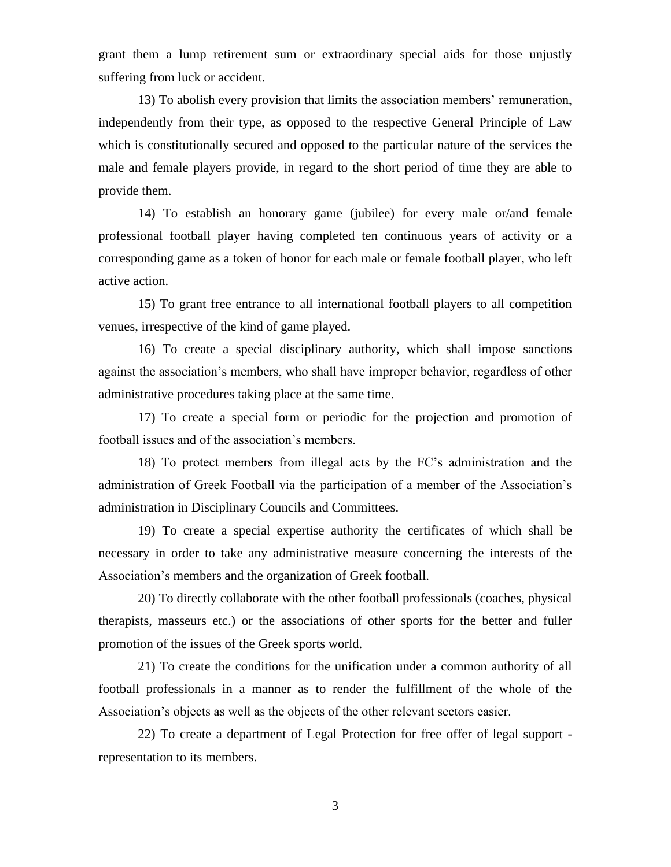grant them a lump retirement sum or extraordinary special aids for those unjustly suffering from luck or accident.

13) To abolish every provision that limits the association members' remuneration, independently from their type, as opposed to the respective General Principle of Law which is constitutionally secured and opposed to the particular nature of the services the male and female players provide, in regard to the short period of time they are able to provide them.

14) To establish an honorary game (jubilee) for every male or/and female professional football player having completed ten continuous years of activity or a corresponding game as a token of honor for each male or female football player, who left active action.

15) To grant free entrance to all international football players to all competition venues, irrespective of the kind of game played.

16) To create a special disciplinary authority, which shall impose sanctions against the association's members, who shall have improper behavior, regardless of other administrative procedures taking place at the same time.

17) To create a special form or periodic for the projection and promotion of football issues and of the association's members.

18) To protect members from illegal acts by the FC's administration and the administration of Greek Football via the participation of a member of the Association's administration in Disciplinary Councils and Committees.

19) To create a special expertise authority the certificates of which shall be necessary in order to take any administrative measure concerning the interests of the Association's members and the organization of Greek football.

20) To directly collaborate with the other football professionals (coaches, physical therapists, masseurs etc.) or the associations of other sports for the better and fuller promotion of the issues of the Greek sports world.

21) To create the conditions for the unification under a common authority of all football professionals in a manner as to render the fulfillment of the whole of the Association's objects as well as the objects of the other relevant sectors easier.

22) To create a department of Legal Protection for free offer of legal support representation to its members.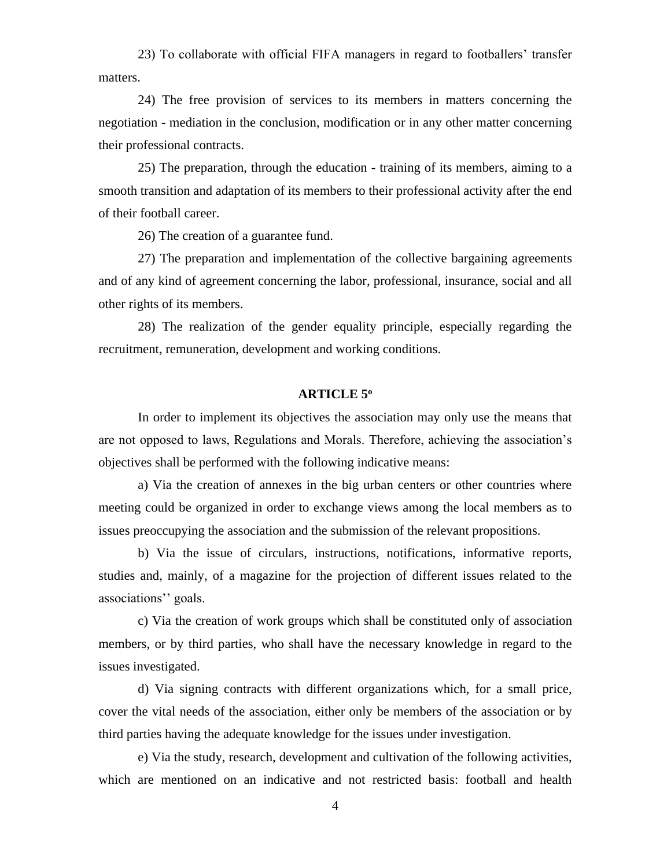23) To collaborate with official FIFA managers in regard to footballers' transfer matters.

24) The free provision of services to its members in matters concerning the negotiation - mediation in the conclusion, modification or in any other matter concerning their professional contracts.

25) The preparation, through the education - training of its members, aiming to a smooth transition and adaptation of its members to their professional activity after the end of their football career.

26) The creation of a guarantee fund.

27) The preparation and implementation of the collective bargaining agreements and of any kind of agreement concerning the labor, professional, insurance, social and all other rights of its members.

28) The realization of the gender equality principle, especially regarding the recruitment, remuneration, development and working conditions.

#### **ARTICLE 5<sup>ο</sup>**

In order to implement its objectives the association may only use the means that are not opposed to laws, Regulations and Morals. Therefore, achieving the association's objectives shall be performed with the following indicative means:

a) Via the creation of annexes in the big urban centers or other countries where meeting could be organized in order to exchange views among the local members as to issues preoccupying the association and the submission of the relevant propositions.

b) Via the issue of circulars, instructions, notifications, informative reports, studies and, mainly, of a magazine for the projection of different issues related to the associations'' goals.

c) Via the creation of work groups which shall be constituted only of association members, or by third parties, who shall have the necessary knowledge in regard to the issues investigated.

d) Via signing contracts with different organizations which, for a small price, cover the vital needs of the association, either only be members of the association or by third parties having the adequate knowledge for the issues under investigation.

e) Via the study, research, development and cultivation of the following activities, which are mentioned on an indicative and not restricted basis: football and health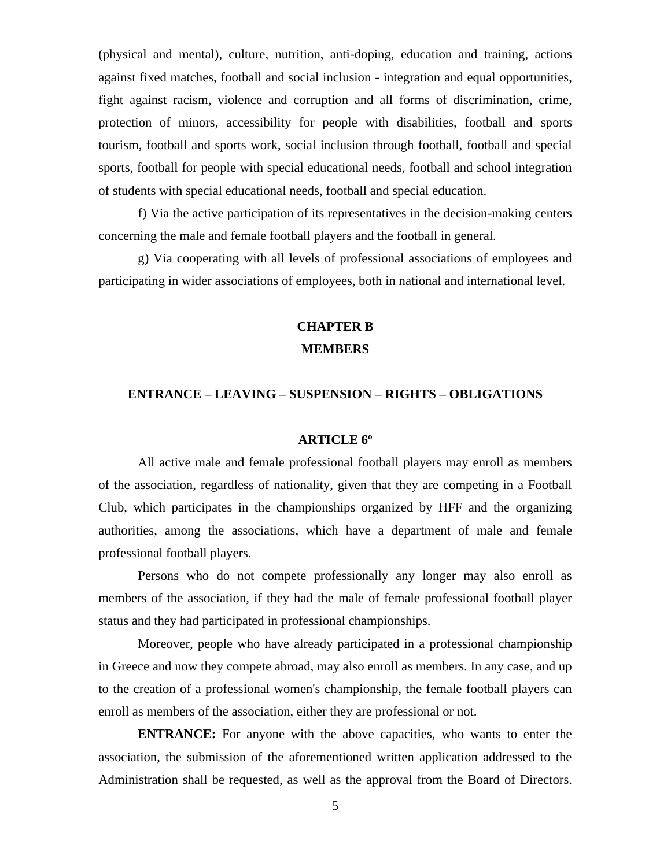(physical and mental), culture, nutrition, anti-doping, education and training, actions against fixed matches, football and social inclusion - integration and equal opportunities, fight against racism, violence and corruption and all forms of discrimination, crime, protection of minors, accessibility for people with disabilities, football and sports tourism, football and sports work, social inclusion through football, football and special sports, football for people with special educational needs, football and school integration of students with special educational needs, football and special education.

f) Via the active participation of its representatives in the decision-making centers concerning the male and female football players and the football in general.

g) Via cooperating with all levels of professional associations of employees and participating in wider associations of employees, both in national and international level.

# **CHAPTER B MEMBERS**

### **ENTRANCE – LEAVING – SUSPENSION – RIGHTS – OBLIGATIONS**

# **ARTICLE 6<sup>ο</sup>**

All active male and female professional football players may enroll as members of the association, regardless of nationality, given that they are competing in a Football Club, which participates in the championships organized by HFF and the organizing authorities, among the associations, which have a department of male and female professional football players.

Persons who do not compete professionally any longer may also enroll as members of the association, if they had the male of female professional football player status and they had participated in professional championships.

Moreover, people who have already participated in a professional championship in Greece and now they compete abroad, may also enroll as members. In any case, and up to the creation of a professional women's championship, the female football players can enroll as members of the association, either they are professional or not.

**ENTRANCE:** For anyone with the above capacities, who wants to enter the association, the submission of the aforementioned written application addressed to the Administration shall be requested, as well as the approval from the Board of Directors.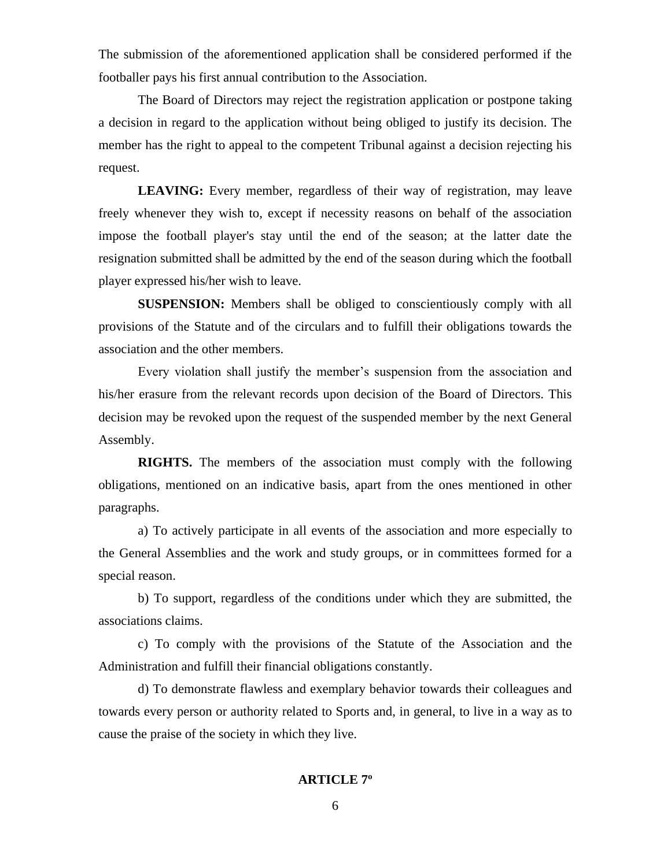The submission of the aforementioned application shall be considered performed if the footballer pays his first annual contribution to the Association.

The Board of Directors may reject the registration application or postpone taking a decision in regard to the application without being obliged to justify its decision. The member has the right to appeal to the competent Tribunal against a decision rejecting his request.

**LEAVING:** Every member, regardless of their way of registration, may leave freely whenever they wish to, except if necessity reasons on behalf of the association impose the football player's stay until the end of the season; at the latter date the resignation submitted shall be admitted by the end of the season during which the football player expressed his/her wish to leave.

**SUSPENSION:** Members shall be obliged to conscientiously comply with all provisions of the Statute and of the circulars and to fulfill their obligations towards the association and the other members.

Every violation shall justify the member's suspension from the association and his/her erasure from the relevant records upon decision of the Board of Directors. This decision may be revoked upon the request of the suspended member by the next General Assembly.

**RIGHTS.** The members of the association must comply with the following obligations, mentioned on an indicative basis, apart from the ones mentioned in other paragraphs.

a) To actively participate in all events of the association and more especially to the General Assemblies and the work and study groups, or in committees formed for a special reason.

b) To support, regardless of the conditions under which they are submitted, the associations claims.

c) To comply with the provisions of the Statute of the Association and the Administration and fulfill their financial obligations constantly.

d) To demonstrate flawless and exemplary behavior towards their colleagues and towards every person or authority related to Sports and, in general, to live in a way as to cause the praise of the society in which they live.

# **ARTICLE 7ο**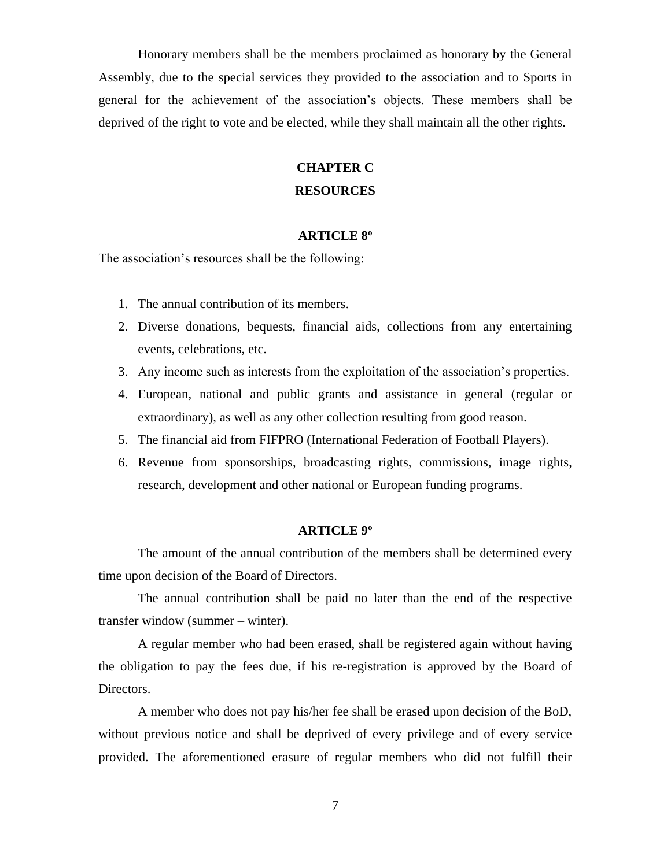Honorary members shall be the members proclaimed as honorary by the General Assembly, due to the special services they provided to the association and to Sports in general for the achievement of the association's objects. These members shall be deprived of the right to vote and be elected, while they shall maintain all the other rights.

# **CHAPTER C**

# **RESOURCES**

# **ARTICLE 8<sup>ο</sup>**

The association's resources shall be the following:

- 1. The annual contribution of its members.
- 2. Diverse donations, bequests, financial aids, collections from any entertaining events, celebrations, etc.
- 3. Any income such as interests from the exploitation of the association's properties.
- 4. European, national and public grants and assistance in general (regular or extraordinary), as well as any other collection resulting from good reason.
- 5. The financial aid from FIFPRO (International Federation of Football Players).
- 6. Revenue from sponsorships, broadcasting rights, commissions, image rights, research, development and other national or European funding programs.

# **ARTICLE 9<sup>ο</sup>**

The amount of the annual contribution of the members shall be determined every time upon decision of the Board of Directors.

The annual contribution shall be paid no later than the end of the respective transfer window (summer – winter).

A regular member who had been erased, shall be registered again without having the obligation to pay the fees due, if his re-registration is approved by the Board of Directors.

A member who does not pay his/her fee shall be erased upon decision of the BoD, without previous notice and shall be deprived of every privilege and of every service provided. The aforementioned erasure of regular members who did not fulfill their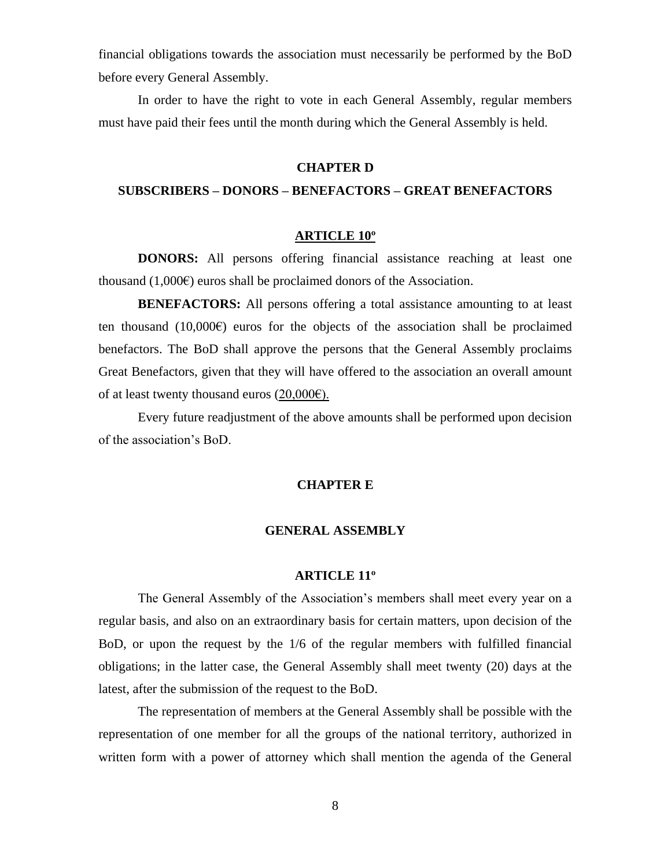financial obligations towards the association must necessarily be performed by the BoD before every General Assembly.

In order to have the right to vote in each General Assembly, regular members must have paid their fees until the month during which the General Assembly is held.

# **CHAPTER D**

## **SUBSCRIBERS – DONORS – BENEFACTORS – GREAT BENEFACTORS**

#### **ARTICLE 10<sup>ο</sup>**

**DONORS:** All persons offering financial assistance reaching at least one thousand  $(1,000\varepsilon)$  euros shall be proclaimed donors of the Association.

**BENEFACTORS:** All persons offering a total assistance amounting to at least ten thousand  $(10,000 \epsilon)$  euros for the objects of the association shall be proclaimed benefactors. The BoD shall approve the persons that the General Assembly proclaims Great Benefactors, given that they will have offered to the association an overall amount of at least twenty thousand euros  $(20,000\varepsilon)$ .

Every future readjustment of the above amounts shall be performed upon decision of the association's BoD.

#### **CHAPTER E**

# **GENERAL ASSEMBLY**

#### **ARTICLE 11<sup>ο</sup>**

The General Assembly of the Association's members shall meet every year on a regular basis, and also on an extraordinary basis for certain matters, upon decision of the BoD, or upon the request by the 1/6 of the regular members with fulfilled financial obligations; in the latter case, the General Assembly shall meet twenty (20) days at the latest, after the submission of the request to the BoD.

The representation of members at the General Assembly shall be possible with the representation of one member for all the groups of the national territory, authorized in written form with a power of attorney which shall mention the agenda of the General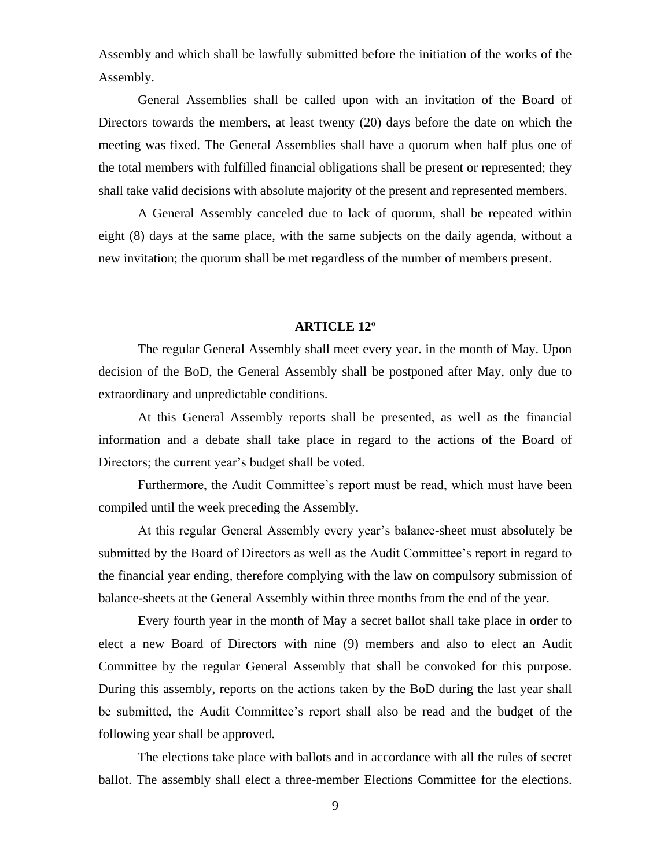Assembly and which shall be lawfully submitted before the initiation of the works of the Assembly.

General Assemblies shall be called upon with an invitation of the Board of Directors towards the members, at least twenty (20) days before the date on which the meeting was fixed. The General Assemblies shall have a quorum when half plus one of the total members with fulfilled financial obligations shall be present or represented; they shall take valid decisions with absolute majority of the present and represented members.

A General Assembly canceled due to lack of quorum, shall be repeated within eight (8) days at the same place, with the same subjects on the daily agenda, without a new invitation; the quorum shall be met regardless of the number of members present.

#### **ARTICLE 12<sup>ο</sup>**

The regular General Assembly shall meet every year. in the month of May. Upon decision of the BoD, the General Assembly shall be postponed after May, only due to extraordinary and unpredictable conditions.

At this General Assembly reports shall be presented, as well as the financial information and a debate shall take place in regard to the actions of the Board of Directors; the current year's budget shall be voted.

Furthermore, the Audit Committee's report must be read, which must have been compiled until the week preceding the Assembly.

At this regular General Assembly every year's balance-sheet must absolutely be submitted by the Board of Directors as well as the Audit Committee's report in regard to the financial year ending, therefore complying with the law on compulsory submission of balance-sheets at the General Assembly within three months from the end of the year.

Every fourth year in the month of May a secret ballot shall take place in order to elect a new Board of Directors with nine (9) members and also to elect an Audit Committee by the regular General Assembly that shall be convoked for this purpose. During this assembly, reports on the actions taken by the BoD during the last year shall be submitted, the Audit Committee's report shall also be read and the budget of the following year shall be approved.

The elections take place with ballots and in accordance with all the rules of secret ballot. The assembly shall elect a three-member Elections Committee for the elections.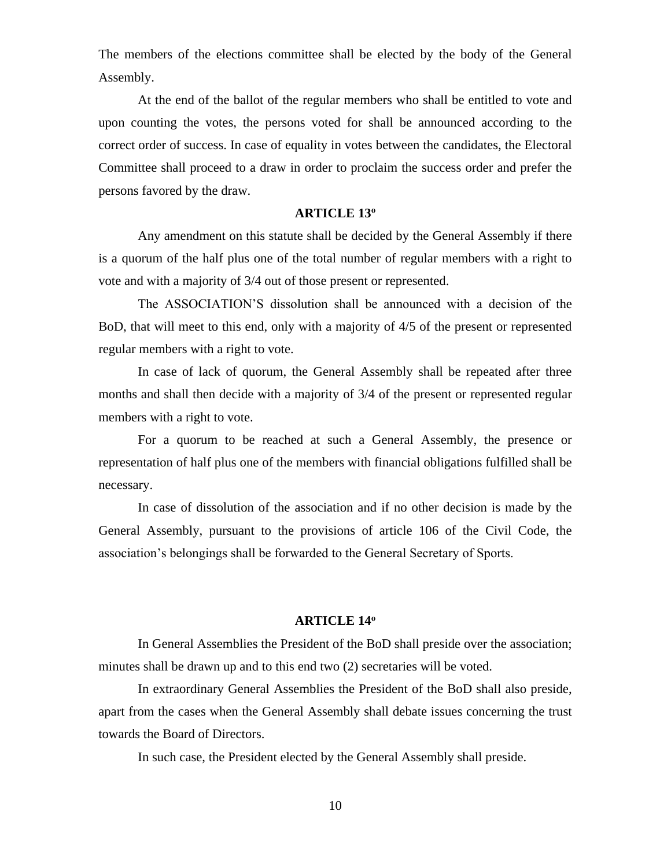The members of the elections committee shall be elected by the body of the General Assembly.

At the end of the ballot of the regular members who shall be entitled to vote and upon counting the votes, the persons voted for shall be announced according to the correct order of success. In case of equality in votes between the candidates, the Electoral Committee shall proceed to a draw in order to proclaim the success order and prefer the persons favored by the draw.

#### **ARTICLE 13<sup>ο</sup>**

Any amendment on this statute shall be decided by the General Assembly if there is a quorum of the half plus one of the total number of regular members with a right to vote and with a majority of 3/4 out of those present or represented.

The ASSOCIATION'S dissolution shall be announced with a decision of the BoD, that will meet to this end, only with a majority of 4/5 of the present or represented regular members with a right to vote.

In case of lack of quorum, the General Assembly shall be repeated after three months and shall then decide with a majority of 3/4 of the present or represented regular members with a right to vote.

For a quorum to be reached at such a General Assembly, the presence or representation of half plus one of the members with financial obligations fulfilled shall be necessary.

In case of dissolution of the association and if no other decision is made by the General Assembly, pursuant to the provisions of article 106 of the Civil Code, the association's belongings shall be forwarded to the General Secretary of Sports.

#### **ARTICLE 14<sup>ο</sup>**

In General Assemblies the President of the BoD shall preside over the association; minutes shall be drawn up and to this end two (2) secretaries will be voted.

In extraordinary General Assemblies the President of the BoD shall also preside, apart from the cases when the General Assembly shall debate issues concerning the trust towards the Board of Directors.

In such case, the President elected by the General Assembly shall preside.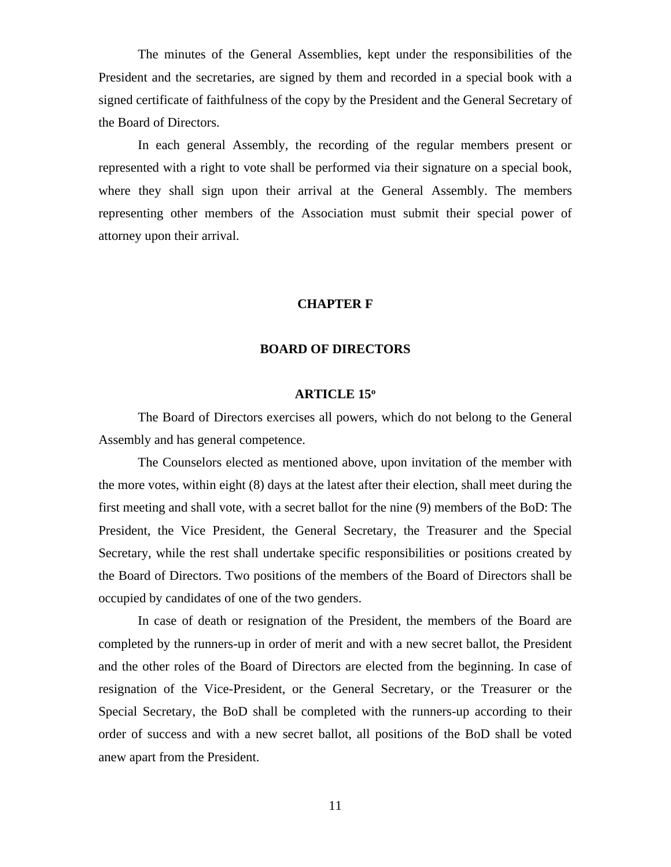The minutes of the General Assemblies, kept under the responsibilities of the President and the secretaries, are signed by them and recorded in a special book with a signed certificate of faithfulness of the copy by the President and the General Secretary of the Board of Directors.

In each general Assembly, the recording of the regular members present or represented with a right to vote shall be performed via their signature on a special book, where they shall sign upon their arrival at the General Assembly. The members representing other members of the Association must submit their special power of attorney upon their arrival.

#### **CHAPTER F**

# **BOARD OF DIRECTORS**

#### **ARTICLE 15<sup>ο</sup>**

The Board of Directors exercises all powers, which do not belong to the General Assembly and has general competence.

The Counselors elected as mentioned above, upon invitation of the member with the more votes, within eight (8) days at the latest after their election, shall meet during the first meeting and shall vote, with a secret ballot for the nine (9) members of the BoD: The President, the Vice President, the General Secretary, the Treasurer and the Special Secretary, while the rest shall undertake specific responsibilities or positions created by the Board of Directors. Two positions of the members of the Board of Directors shall be occupied by candidates of one of the two genders.

In case of death or resignation of the President, the members of the Board are completed by the runners-up in order of merit and with a new secret ballot, the President and the other roles of the Board of Directors are elected from the beginning. In case of resignation of the Vice-President, or the General Secretary, or the Treasurer or the Special Secretary, the BoD shall be completed with the runners-up according to their order of success and with a new secret ballot, all positions of the BoD shall be voted anew apart from the President.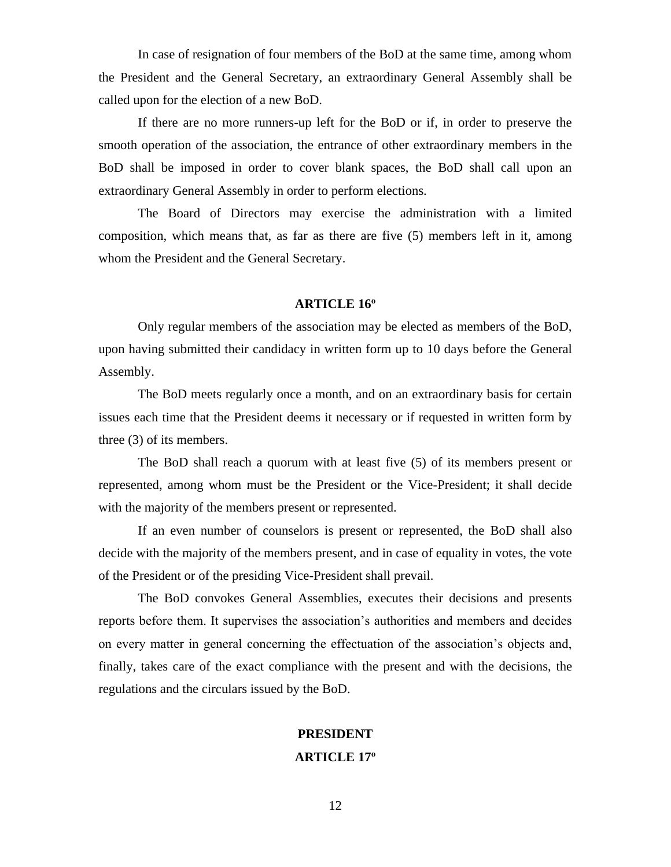In case of resignation of four members of the BoD at the same time, among whom the President and the General Secretary, an extraordinary General Assembly shall be called upon for the election of a new BoD.

If there are no more runners-up left for the BoD or if, in order to preserve the smooth operation of the association, the entrance of other extraordinary members in the BoD shall be imposed in order to cover blank spaces, the BoD shall call upon an extraordinary General Assembly in order to perform elections.

The Board of Directors may exercise the administration with a limited composition, which means that, as far as there are five (5) members left in it, among whom the President and the General Secretary.

### **ARTICLE 16<sup>ο</sup>**

Only regular members of the association may be elected as members of the BoD, upon having submitted their candidacy in written form up to 10 days before the General Assembly.

The BoD meets regularly once a month, and on an extraordinary basis for certain issues each time that the President deems it necessary or if requested in written form by three (3) of its members.

The BoD shall reach a quorum with at least five (5) of its members present or represented, among whom must be the President or the Vice-President; it shall decide with the majority of the members present or represented.

If an even number of counselors is present or represented, the BoD shall also decide with the majority of the members present, and in case of equality in votes, the vote of the President or of the presiding Vice-President shall prevail.

The BoD convokes General Assemblies, executes their decisions and presents reports before them. It supervises the association's authorities and members and decides on every matter in general concerning the effectuation of the association's objects and, finally, takes care of the exact compliance with the present and with the decisions, the regulations and the circulars issued by the BoD.

# **PRESIDENT ARTICLE 17ο**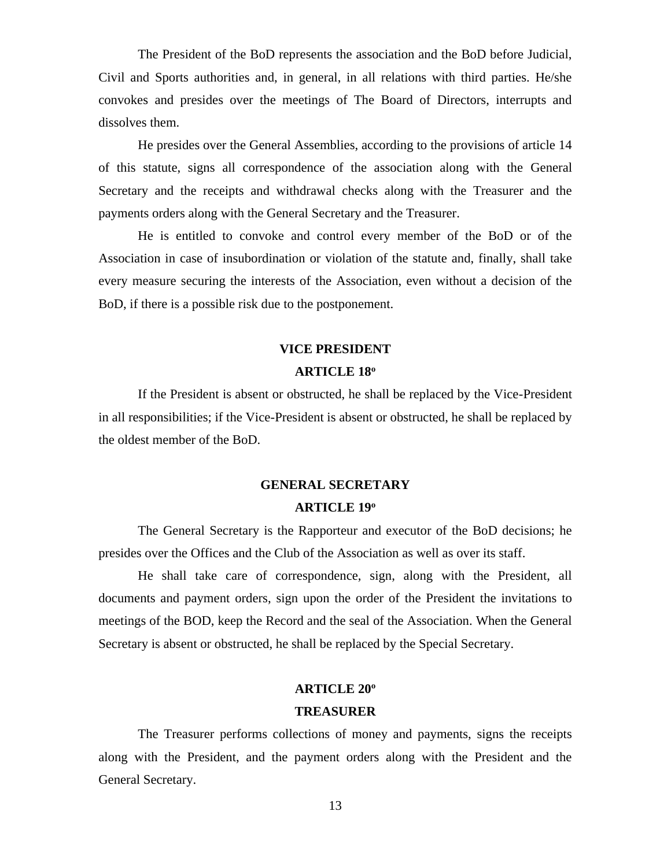The President of the BoD represents the association and the BoD before Judicial, Civil and Sports authorities and, in general, in all relations with third parties. He/she convokes and presides over the meetings of The Board of Directors, interrupts and dissolves them.

He presides over the General Assemblies, according to the provisions of article 14 of this statute, signs all correspondence of the association along with the General Secretary and the receipts and withdrawal checks along with the Treasurer and the payments orders along with the General Secretary and the Treasurer.

He is entitled to convoke and control every member of the BoD or of the Association in case of insubordination or violation of the statute and, finally, shall take every measure securing the interests of the Association, even without a decision of the BoD, if there is a possible risk due to the postponement.

### **VICE PRESIDENT**

#### **ARTICLE 18<sup>ο</sup>**

If the President is absent or obstructed, he shall be replaced by the Vice-President in all responsibilities; if the Vice-President is absent or obstructed, he shall be replaced by the oldest member of the BoD.

# **GENERAL SECRETARY ARTICLE 19<sup>ο</sup>**

The General Secretary is the Rapporteur and executor of the BoD decisions; he presides over the Offices and the Club of the Association as well as over its staff.

He shall take care of correspondence, sign, along with the President, all documents and payment orders, sign upon the order of the President the invitations to meetings of the BOD, keep the Record and the seal of the Association. When the General Secretary is absent or obstructed, he shall be replaced by the Special Secretary.

#### **ARTICLE 20<sup>ο</sup>**

#### **TREASURER**

The Treasurer performs collections of money and payments, signs the receipts along with the President, and the payment orders along with the President and the General Secretary.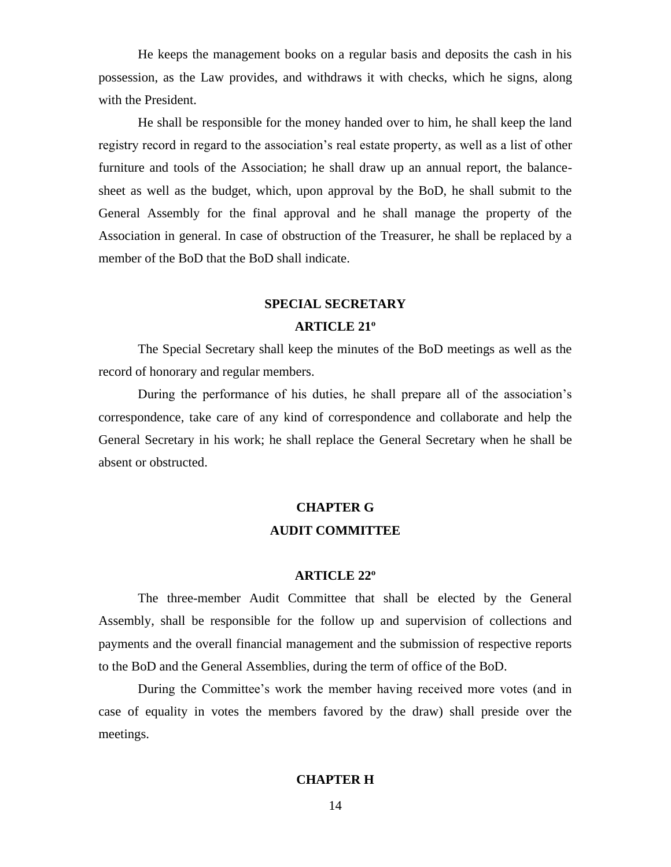He keeps the management books on a regular basis and deposits the cash in his possession, as the Law provides, and withdraws it with checks, which he signs, along with the President.

He shall be responsible for the money handed over to him, he shall keep the land registry record in regard to the association's real estate property, as well as a list of other furniture and tools of the Association; he shall draw up an annual report, the balancesheet as well as the budget, which, upon approval by the BoD, he shall submit to the General Assembly for the final approval and he shall manage the property of the Association in general. In case of obstruction of the Treasurer, he shall be replaced by a member of the BoD that the BoD shall indicate.

# **SPECIAL SECRETARY**

### **ARTICLE 21<sup>ο</sup>**

The Special Secretary shall keep the minutes of the BoD meetings as well as the record of honorary and regular members.

During the performance of his duties, he shall prepare all of the association's correspondence, take care of any kind of correspondence and collaborate and help the General Secretary in his work; he shall replace the General Secretary when he shall be absent or obstructed.

# **CHAPTER G AUDIT COMMITTEE**

#### **ARTICLE 22<sup>ο</sup>**

The three-member Audit Committee that shall be elected by the General Assembly, shall be responsible for the follow up and supervision of collections and payments and the overall financial management and the submission of respective reports to the BoD and the General Assemblies, during the term of office of the BoD.

During the Committee's work the member having received more votes (and in case of equality in votes the members favored by the draw) shall preside over the meetings.

# **CHAPTER H**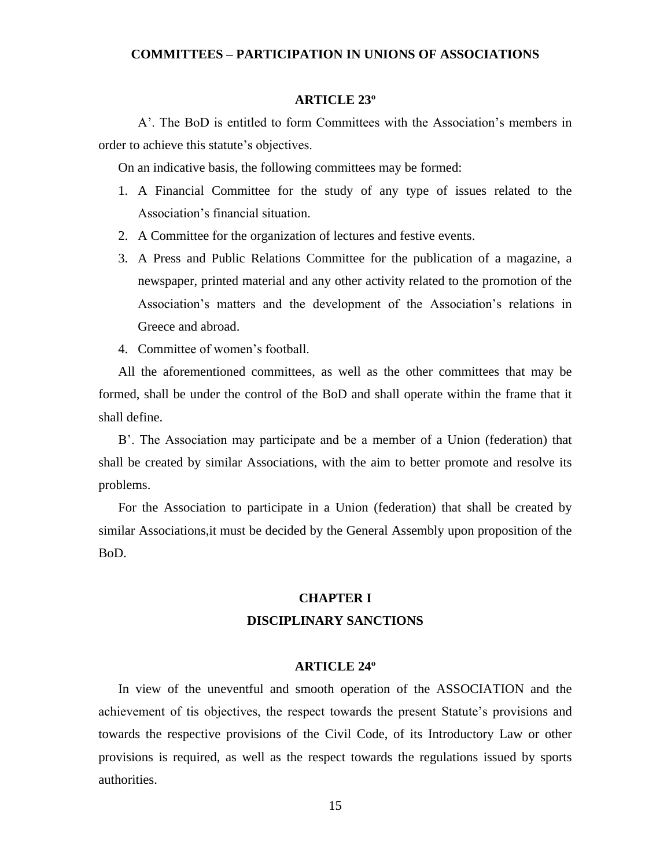# **COMMITTEES – PARTICIPATION IN UNIONS OF ASSOCIATIONS**

#### **ARTICLE 23<sup>ο</sup>**

Α'. The BoD is entitled to form Committees with the Association's members in order to achieve this statute's objectives.

On an indicative basis, the following committees may be formed:

- 1. A Financial Committee for the study of any type of issues related to the Association's financial situation.
- 2. A Committee for the organization of lectures and festive events.
- 3. A Press and Public Relations Committee for the publication of a magazine, a newspaper, printed material and any other activity related to the promotion of the Association's matters and the development of the Association's relations in Greece and abroad.
- 4. Committee of women's football.

All the aforementioned committees, as well as the other committees that may be formed, shall be under the control of the BoD and shall operate within the frame that it shall define.

Β'. The Association may participate and be a member of a Union (federation) that shall be created by similar Associations, with the aim to better promote and resolve its problems.

For the Association to participate in a Union (federation) that shall be created by similar Associations,it must be decided by the General Assembly upon proposition of the BoD.

# **CHAPTER I DISCIPLINARY SANCTIONS**

#### **ARTICLE 24<sup>ο</sup>**

In view of the uneventful and smooth operation of the ASSOCIATION and the achievement of tis objectives, the respect towards the present Statute's provisions and towards the respective provisions of the Civil Code, of its Introductory Law or other provisions is required, as well as the respect towards the regulations issued by sports authorities.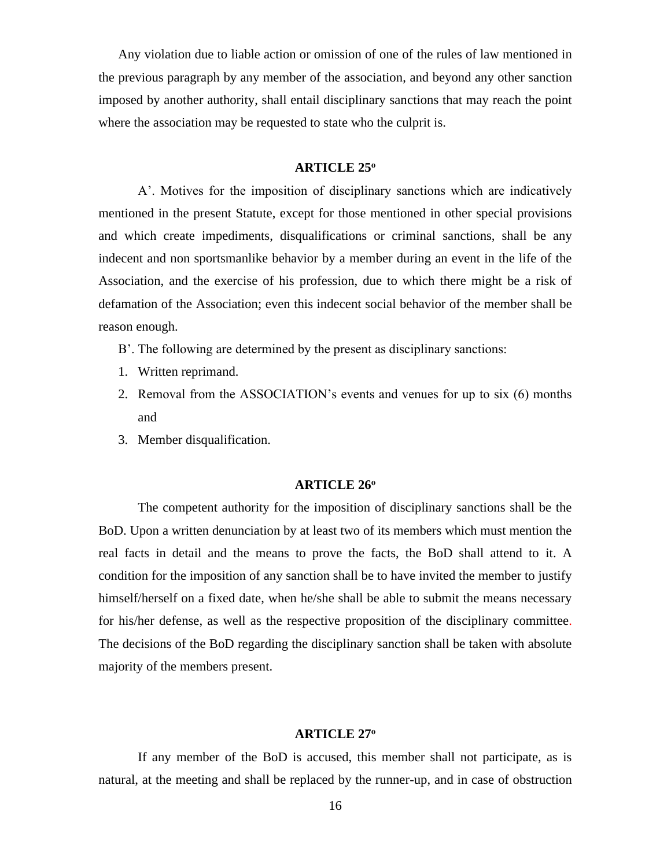Any violation due to liable action or omission of one of the rules of law mentioned in the previous paragraph by any member of the association, and beyond any other sanction imposed by another authority, shall entail disciplinary sanctions that may reach the point where the association may be requested to state who the culprit is.

#### **ARTICLE 25<sup>ο</sup>**

Α'. Motives for the imposition of disciplinary sanctions which are indicatively mentioned in the present Statute, except for those mentioned in other special provisions and which create impediments, disqualifications or criminal sanctions, shall be any indecent and non sportsmanlike behavior by a member during an event in the life of the Association, and the exercise of his profession, due to which there might be a risk of defamation of the Association; even this indecent social behavior of the member shall be reason enough.

- Β'. The following are determined by the present as disciplinary sanctions:
- 1. Written reprimand.
- 2. Removal from the ASSOCIATION's events and venues for up to six (6) months and
- 3. Member disqualification.

#### **ARTICLE 26<sup>ο</sup>**

The competent authority for the imposition of disciplinary sanctions shall be the BoD. Upon a written denunciation by at least two of its members which must mention the real facts in detail and the means to prove the facts, the BoD shall attend to it. A condition for the imposition of any sanction shall be to have invited the member to justify himself/herself on a fixed date, when he/she shall be able to submit the means necessary for his/her defense, as well as the respective proposition of the disciplinary committee. The decisions of the BoD regarding the disciplinary sanction shall be taken with absolute majority of the members present.

#### **ARTICLE 27<sup>ο</sup>**

If any member of the BoD is accused, this member shall not participate, as is natural, at the meeting and shall be replaced by the runner-up, and in case of obstruction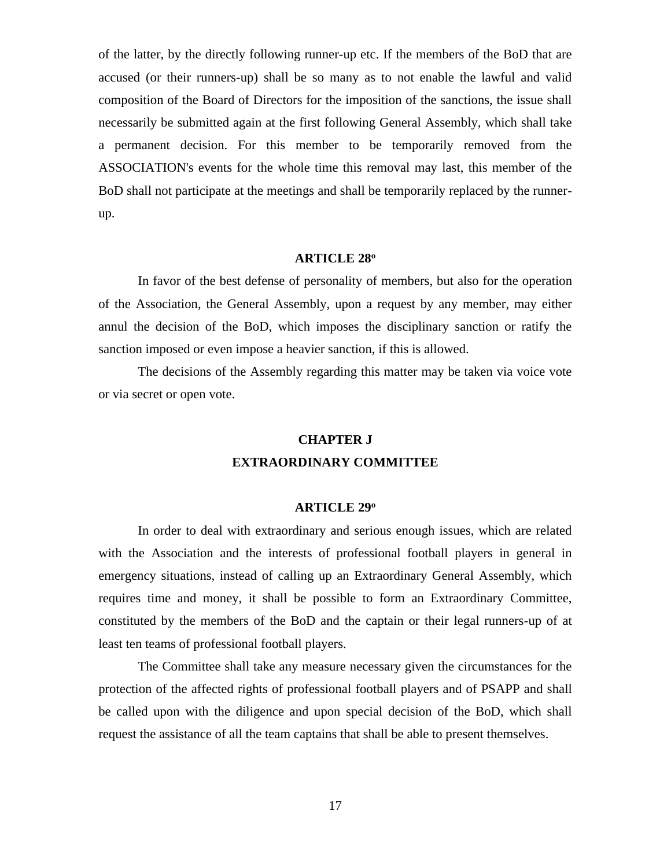of the latter, by the directly following runner-up etc. If the members of the BoD that are accused (or their runners-up) shall be so many as to not enable the lawful and valid composition of the Board of Directors for the imposition of the sanctions, the issue shall necessarily be submitted again at the first following General Assembly, which shall take a permanent decision. For this member to be temporarily removed from the ASSOCIATION's events for the whole time this removal may last, this member of the BoD shall not participate at the meetings and shall be temporarily replaced by the runnerup.

### **ARTICLE 28<sup>ο</sup>**

In favor of the best defense of personality of members, but also for the operation of the Association, the General Assembly, upon a request by any member, may either annul the decision of the BoD, which imposes the disciplinary sanction or ratify the sanction imposed or even impose a heavier sanction, if this is allowed.

The decisions of the Assembly regarding this matter may be taken via voice vote or via secret or open vote.

#### **CHAPTER J**

### **EXTRAORDINARY COMMITTEE**

### **ARTICLE 29<sup>ο</sup>**

In order to deal with extraordinary and serious enough issues, which are related with the Association and the interests of professional football players in general in emergency situations, instead of calling up an Extraordinary General Assembly, which requires time and money, it shall be possible to form an Extraordinary Committee, constituted by the members of the BoD and the captain or their legal runners-up of at least ten teams of professional football players.

The Committee shall take any measure necessary given the circumstances for the protection of the affected rights of professional football players and of PSAPP and shall be called upon with the diligence and upon special decision of the BoD, which shall request the assistance of all the team captains that shall be able to present themselves.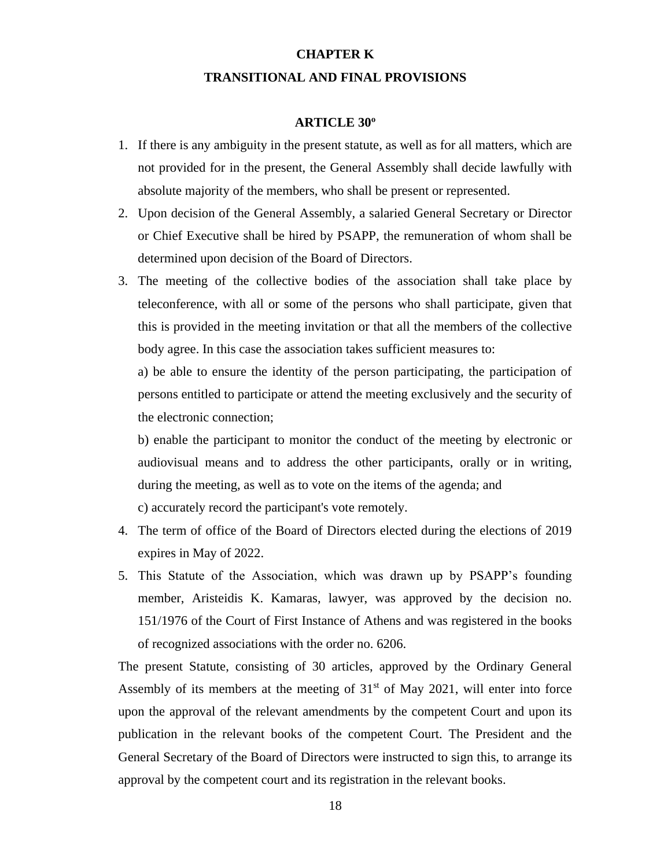# **CHAPTER K TRANSITIONAL AND FINAL PROVISIONS**

### **ARTICLE 30<sup>ο</sup>**

- 1. If there is any ambiguity in the present statute, as well as for all matters, which are not provided for in the present, the General Assembly shall decide lawfully with absolute majority of the members, who shall be present or represented.
- 2. Upon decision of the General Assembly, a salaried General Secretary or Director or Chief Executive shall be hired by PSAPP, the remuneration of whom shall be determined upon decision of the Board of Directors.
- 3. The meeting of the collective bodies of the association shall take place by teleconference, with all or some of the persons who shall participate, given that this is provided in the meeting invitation or that all the members of the collective body agree. In this case the association takes sufficient measures to:

a) be able to ensure the identity of the person participating, the participation of persons entitled to participate or attend the meeting exclusively and the security of the electronic connection;

b) enable the participant to monitor the conduct of the meeting by electronic or audiovisual means and to address the other participants, orally or in writing, during the meeting, as well as to vote on the items of the agenda; and c) accurately record the participant's vote remotely.

- 4. The term of office of the Board of Directors elected during the elections of 2019 expires in May of 2022.
- 5. This Statute of the Association, which was drawn up by PSAPP's founding member, Aristeidis K. Kamaras, lawyer, was approved by the decision no. 151/1976 of the Court of First Instance of Athens and was registered in the books of recognized associations with the order no. 6206.

The present Statute, consisting of 30 articles, approved by the Ordinary General Assembly of its members at the meeting of  $31<sup>st</sup>$  of May 2021, will enter into force upon the approval of the relevant amendments by the competent Court and upon its publication in the relevant books of the competent Court. The President and the General Secretary of the Board of Directors were instructed to sign this, to arrange its approval by the competent court and its registration in the relevant books.